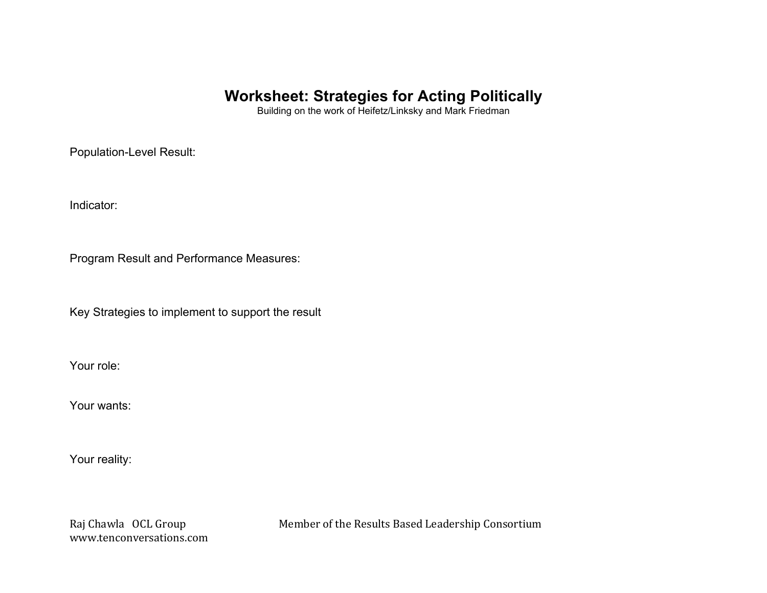## **Worksheet: Strategies for Acting Politically**

Building on the work of Heifetz/Linksky and Mark Friedman

Population-Level Result:

Indicator:

Program Result and Performance Measures:

Key Strategies to implement to support the result

Your role:

Your wants:

Your reality:

www.tenconversations.com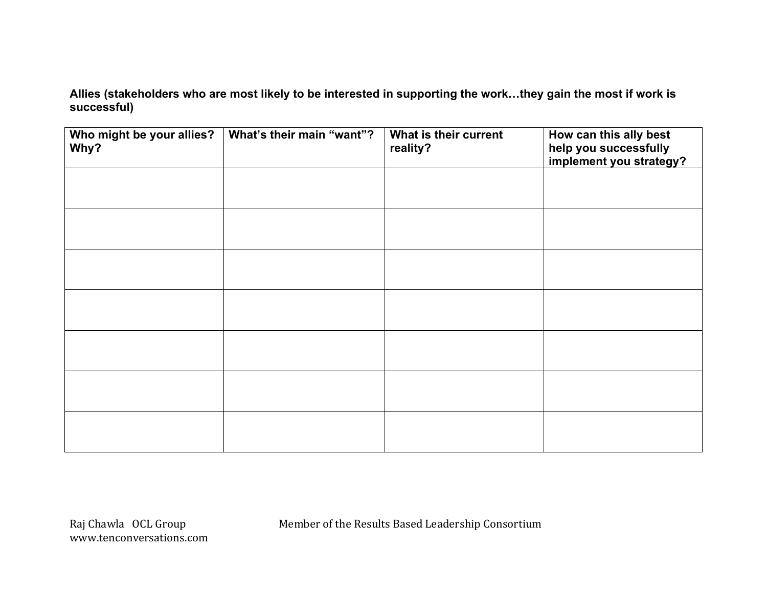**Allies (stakeholders who are most likely to be interested in supporting the work…they gain the most if work is successful)** 

| Who might be your allies?<br>Why? | What's their main "want"? | What is their current<br>reality? | How can this ally best<br>help you successfully<br>implement you strategy? |
|-----------------------------------|---------------------------|-----------------------------------|----------------------------------------------------------------------------|
|                                   |                           |                                   |                                                                            |
|                                   |                           |                                   |                                                                            |
|                                   |                           |                                   |                                                                            |
|                                   |                           |                                   |                                                                            |
|                                   |                           |                                   |                                                                            |
|                                   |                           |                                   |                                                                            |
|                                   |                           |                                   |                                                                            |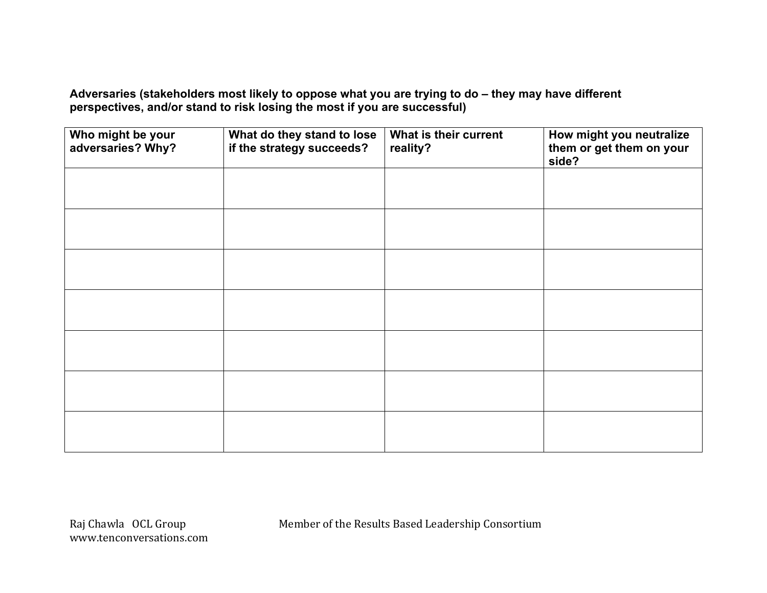**Adversaries (stakeholders most likely to oppose what you are trying to do – they may have different perspectives, and/or stand to risk losing the most if you are successful)**

| Who might be your<br>adversaries? Why? | What do they stand to lose<br>if the strategy succeeds? | What is their current<br>reality? | How might you neutralize<br>them or get them on your<br>side? |
|----------------------------------------|---------------------------------------------------------|-----------------------------------|---------------------------------------------------------------|
|                                        |                                                         |                                   |                                                               |
|                                        |                                                         |                                   |                                                               |
|                                        |                                                         |                                   |                                                               |
|                                        |                                                         |                                   |                                                               |
|                                        |                                                         |                                   |                                                               |
|                                        |                                                         |                                   |                                                               |
|                                        |                                                         |                                   |                                                               |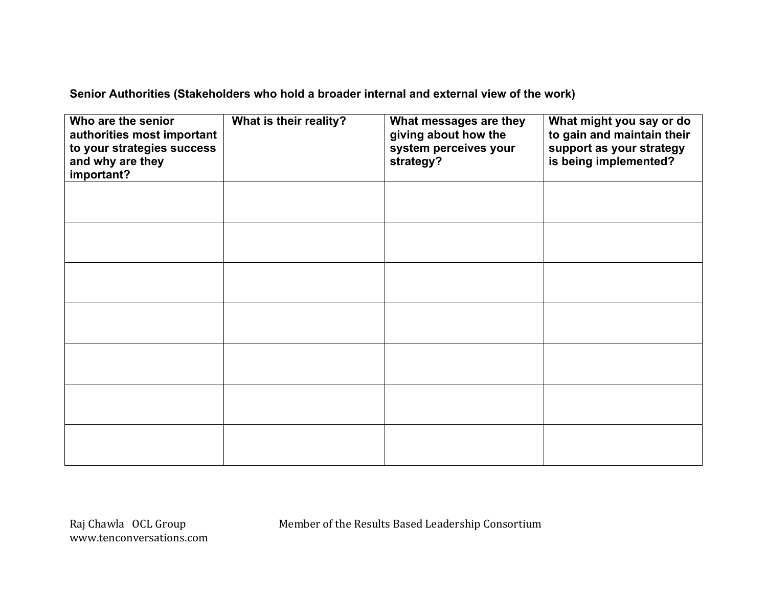**Senior Authorities (Stakeholders who hold a broader internal and external view of the work)**

| Who are the senior<br>authorities most important<br>to your strategies success<br>and why are they<br>important? | What is their reality? | What messages are they<br>giving about how the<br>system perceives your<br>strategy? | What might you say or do<br>to gain and maintain their<br>support as your strategy<br>is being implemented? |
|------------------------------------------------------------------------------------------------------------------|------------------------|--------------------------------------------------------------------------------------|-------------------------------------------------------------------------------------------------------------|
|                                                                                                                  |                        |                                                                                      |                                                                                                             |
|                                                                                                                  |                        |                                                                                      |                                                                                                             |
|                                                                                                                  |                        |                                                                                      |                                                                                                             |
|                                                                                                                  |                        |                                                                                      |                                                                                                             |
|                                                                                                                  |                        |                                                                                      |                                                                                                             |
|                                                                                                                  |                        |                                                                                      |                                                                                                             |
|                                                                                                                  |                        |                                                                                      |                                                                                                             |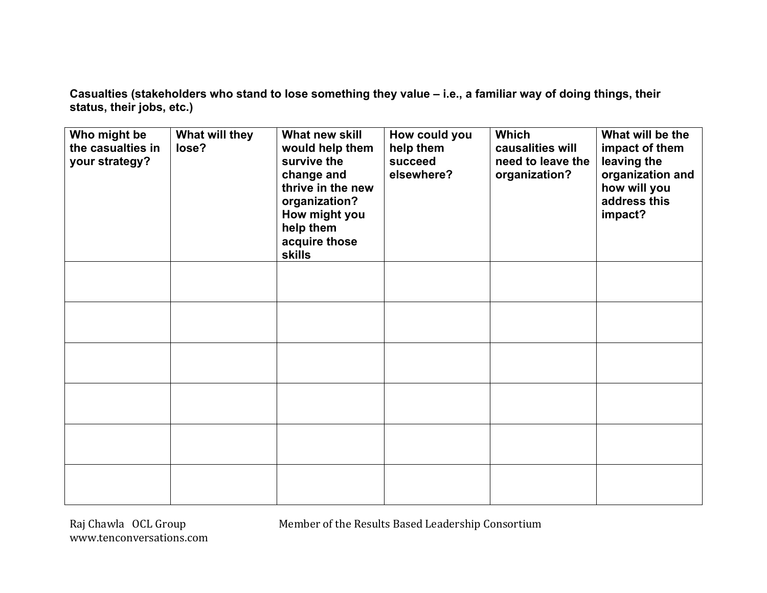**Casualties (stakeholders who stand to lose something they value – i.e., a familiar way of doing things, their status, their jobs, etc.)**

| Who might be<br>the casualties in<br>your strategy? | What will they<br>lose? | What new skill<br>would help them<br>survive the<br>change and<br>thrive in the new<br>organization?<br>How might you<br>help them<br>acquire those<br><b>skills</b> | How could you<br>help them<br>succeed<br>elsewhere? | <b>Which</b><br>causalities will<br>need to leave the<br>organization? | What will be the<br>impact of them<br>leaving the<br>organization and<br>how will you<br>address this<br>impact? |
|-----------------------------------------------------|-------------------------|----------------------------------------------------------------------------------------------------------------------------------------------------------------------|-----------------------------------------------------|------------------------------------------------------------------------|------------------------------------------------------------------------------------------------------------------|
|                                                     |                         |                                                                                                                                                                      |                                                     |                                                                        |                                                                                                                  |
|                                                     |                         |                                                                                                                                                                      |                                                     |                                                                        |                                                                                                                  |
|                                                     |                         |                                                                                                                                                                      |                                                     |                                                                        |                                                                                                                  |
|                                                     |                         |                                                                                                                                                                      |                                                     |                                                                        |                                                                                                                  |
|                                                     |                         |                                                                                                                                                                      |                                                     |                                                                        |                                                                                                                  |
|                                                     |                         |                                                                                                                                                                      |                                                     |                                                                        |                                                                                                                  |

www.tenconversations.com